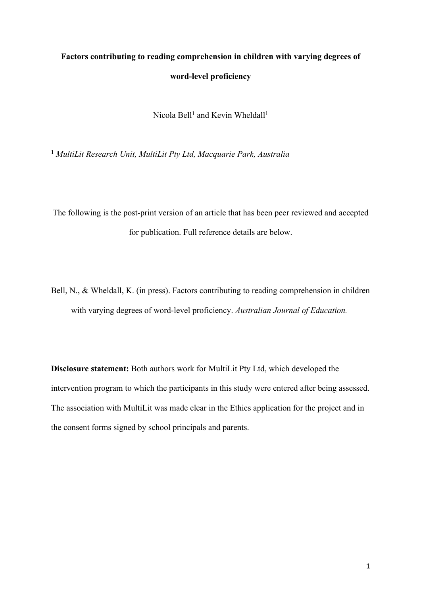# **Factors contributing to reading comprehension in children with varying degrees of word-level proficiency**

Nicola Bell<sup>1</sup> and Kevin Wheldall<sup>1</sup>

**<sup>1</sup>** *MultiLit Research Unit, MultiLit Pty Ltd, Macquarie Park, Australia*

The following is the post-print version of an article that has been peer reviewed and accepted for publication. Full reference details are below.

Bell, N., & Wheldall, K. (in press). Factors contributing to reading comprehension in children with varying degrees of word-level proficiency. *Australian Journal of Education.*

**Disclosure statement:** Both authors work for MultiLit Pty Ltd, which developed the intervention program to which the participants in this study were entered after being assessed. The association with MultiLit was made clear in the Ethics application for the project and in the consent forms signed by school principals and parents.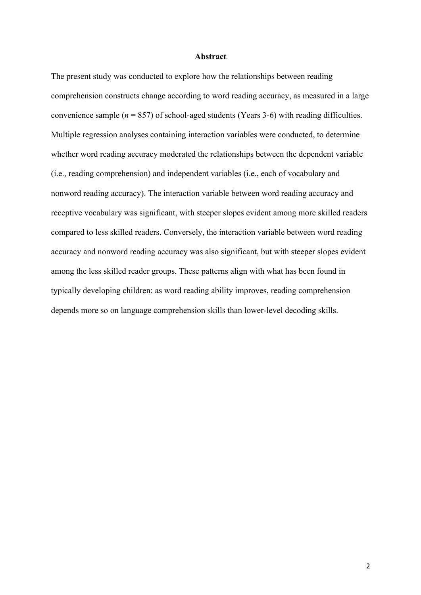#### **Abstract**

The present study was conducted to explore how the relationships between reading comprehension constructs change according to word reading accuracy, as measured in a large convenience sample  $(n = 857)$  of school-aged students (Years 3-6) with reading difficulties. Multiple regression analyses containing interaction variables were conducted, to determine whether word reading accuracy moderated the relationships between the dependent variable (i.e., reading comprehension) and independent variables (i.e., each of vocabulary and nonword reading accuracy). The interaction variable between word reading accuracy and receptive vocabulary was significant, with steeper slopes evident among more skilled readers compared to less skilled readers. Conversely, the interaction variable between word reading accuracy and nonword reading accuracy was also significant, but with steeper slopes evident among the less skilled reader groups. These patterns align with what has been found in typically developing children: as word reading ability improves, reading comprehension depends more so on language comprehension skills than lower-level decoding skills.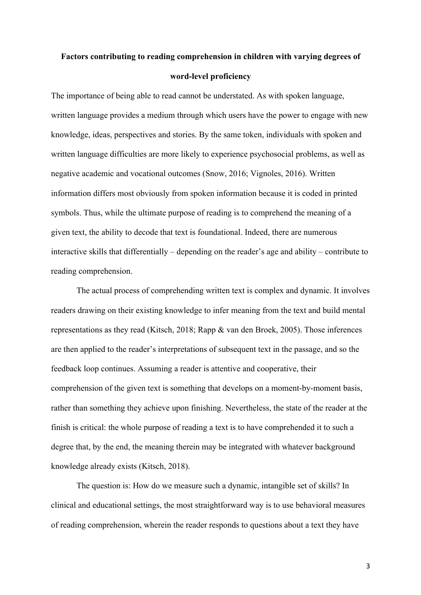# **Factors contributing to reading comprehension in children with varying degrees of word-level proficiency**

The importance of being able to read cannot be understated. As with spoken language, written language provides a medium through which users have the power to engage with new knowledge, ideas, perspectives and stories. By the same token, individuals with spoken and written language difficulties are more likely to experience psychosocial problems, as well as negative academic and vocational outcomes (Snow, 2016; Vignoles, 2016). Written information differs most obviously from spoken information because it is coded in printed symbols. Thus, while the ultimate purpose of reading is to comprehend the meaning of a given text, the ability to decode that text is foundational. Indeed, there are numerous interactive skills that differentially – depending on the reader's age and ability – contribute to reading comprehension.

The actual process of comprehending written text is complex and dynamic. It involves readers drawing on their existing knowledge to infer meaning from the text and build mental representations as they read (Kitsch, 2018; Rapp & van den Broek, 2005). Those inferences are then applied to the reader's interpretations of subsequent text in the passage, and so the feedback loop continues. Assuming a reader is attentive and cooperative, their comprehension of the given text is something that develops on a moment-by-moment basis, rather than something they achieve upon finishing. Nevertheless, the state of the reader at the finish is critical: the whole purpose of reading a text is to have comprehended it to such a degree that, by the end, the meaning therein may be integrated with whatever background knowledge already exists (Kitsch, 2018).

The question is: How do we measure such a dynamic, intangible set of skills? In clinical and educational settings, the most straightforward way is to use behavioral measures of reading comprehension, wherein the reader responds to questions about a text they have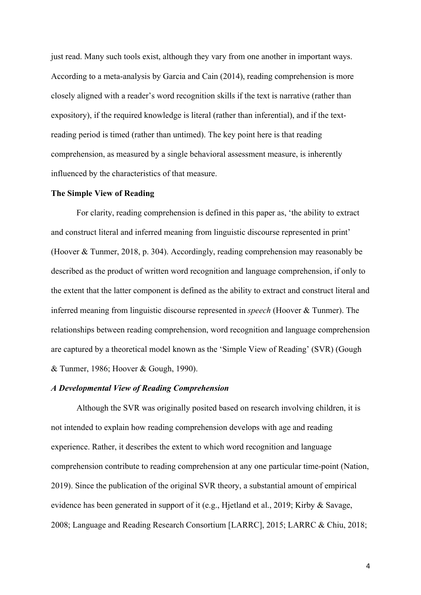just read. Many such tools exist, although they vary from one another in important ways. According to a meta-analysis by Garcia and Cain (2014), reading comprehension is more closely aligned with a reader's word recognition skills if the text is narrative (rather than expository), if the required knowledge is literal (rather than inferential), and if the textreading period is timed (rather than untimed). The key point here is that reading comprehension, as measured by a single behavioral assessment measure, is inherently influenced by the characteristics of that measure.

#### **The Simple View of Reading**

For clarity, reading comprehension is defined in this paper as, 'the ability to extract and construct literal and inferred meaning from linguistic discourse represented in print' (Hoover & Tunmer, 2018, p. 304). Accordingly, reading comprehension may reasonably be described as the product of written word recognition and language comprehension, if only to the extent that the latter component is defined as the ability to extract and construct literal and inferred meaning from linguistic discourse represented in *speech* (Hoover & Tunmer). The relationships between reading comprehension, word recognition and language comprehension are captured by a theoretical model known as the 'Simple View of Reading' (SVR) (Gough & Tunmer, 1986; Hoover & Gough, 1990).

#### *A Developmental View of Reading Comprehension*

Although the SVR was originally posited based on research involving children, it is not intended to explain how reading comprehension develops with age and reading experience. Rather, it describes the extent to which word recognition and language comprehension contribute to reading comprehension at any one particular time-point (Nation, 2019). Since the publication of the original SVR theory, a substantial amount of empirical evidence has been generated in support of it (e.g., Hjetland et al., 2019; Kirby & Savage, 2008; Language and Reading Research Consortium [LARRC], 2015; LARRC & Chiu, 2018;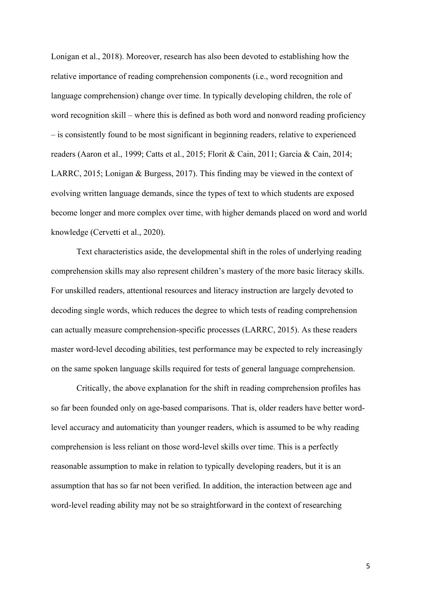Lonigan et al., 2018). Moreover, research has also been devoted to establishing how the relative importance of reading comprehension components (i.e., word recognition and language comprehension) change over time. In typically developing children, the role of word recognition skill – where this is defined as both word and nonword reading proficiency – is consistently found to be most significant in beginning readers, relative to experienced readers (Aaron et al., 1999; Catts et al., 2015; Florit & Cain, 2011; Garcia & Cain, 2014; LARRC, 2015; Lonigan & Burgess, 2017). This finding may be viewed in the context of evolving written language demands, since the types of text to which students are exposed become longer and more complex over time, with higher demands placed on word and world knowledge (Cervetti et al., 2020).

Text characteristics aside, the developmental shift in the roles of underlying reading comprehension skills may also represent children's mastery of the more basic literacy skills. For unskilled readers, attentional resources and literacy instruction are largely devoted to decoding single words, which reduces the degree to which tests of reading comprehension can actually measure comprehension-specific processes (LARRC, 2015). As these readers master word-level decoding abilities, test performance may be expected to rely increasingly on the same spoken language skills required for tests of general language comprehension.

Critically, the above explanation for the shift in reading comprehension profiles has so far been founded only on age-based comparisons. That is, older readers have better wordlevel accuracy and automaticity than younger readers, which is assumed to be why reading comprehension is less reliant on those word-level skills over time. This is a perfectly reasonable assumption to make in relation to typically developing readers, but it is an assumption that has so far not been verified. In addition, the interaction between age and word-level reading ability may not be so straightforward in the context of researching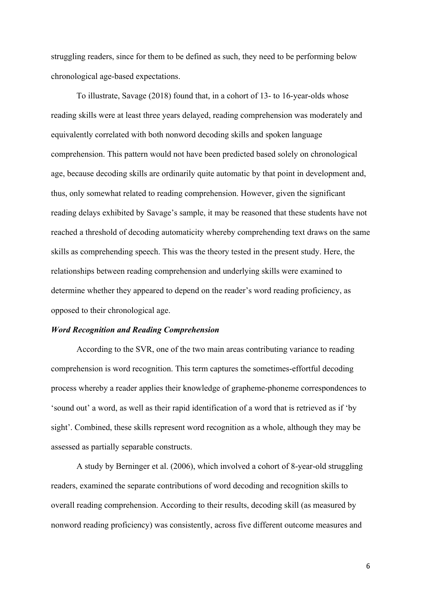struggling readers, since for them to be defined as such, they need to be performing below chronological age-based expectations.

To illustrate, Savage (2018) found that, in a cohort of 13- to 16-year-olds whose reading skills were at least three years delayed, reading comprehension was moderately and equivalently correlated with both nonword decoding skills and spoken language comprehension. This pattern would not have been predicted based solely on chronological age, because decoding skills are ordinarily quite automatic by that point in development and, thus, only somewhat related to reading comprehension. However, given the significant reading delays exhibited by Savage's sample, it may be reasoned that these students have not reached a threshold of decoding automaticity whereby comprehending text draws on the same skills as comprehending speech. This was the theory tested in the present study. Here, the relationships between reading comprehension and underlying skills were examined to determine whether they appeared to depend on the reader's word reading proficiency, as opposed to their chronological age.

### *Word Recognition and Reading Comprehension*

According to the SVR, one of the two main areas contributing variance to reading comprehension is word recognition. This term captures the sometimes-effortful decoding process whereby a reader applies their knowledge of grapheme-phoneme correspondences to 'sound out' a word, as well as their rapid identification of a word that is retrieved as if 'by sight'. Combined, these skills represent word recognition as a whole, although they may be assessed as partially separable constructs.

A study by Berninger et al. (2006), which involved a cohort of 8-year-old struggling readers, examined the separate contributions of word decoding and recognition skills to overall reading comprehension. According to their results, decoding skill (as measured by nonword reading proficiency) was consistently, across five different outcome measures and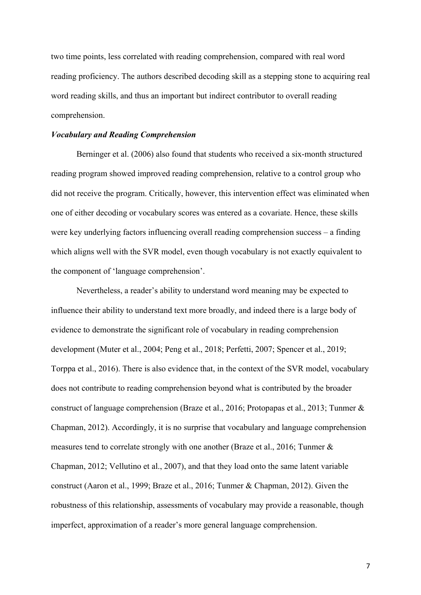two time points, less correlated with reading comprehension, compared with real word reading proficiency. The authors described decoding skill as a stepping stone to acquiring real word reading skills, and thus an important but indirect contributor to overall reading comprehension.

#### *Vocabulary and Reading Comprehension*

Berninger et al. (2006) also found that students who received a six-month structured reading program showed improved reading comprehension, relative to a control group who did not receive the program. Critically, however, this intervention effect was eliminated when one of either decoding or vocabulary scores was entered as a covariate. Hence, these skills were key underlying factors influencing overall reading comprehension success – a finding which aligns well with the SVR model, even though vocabulary is not exactly equivalent to the component of 'language comprehension'.

Nevertheless, a reader's ability to understand word meaning may be expected to influence their ability to understand text more broadly, and indeed there is a large body of evidence to demonstrate the significant role of vocabulary in reading comprehension development (Muter et al., 2004; Peng et al., 2018; Perfetti, 2007; Spencer et al., 2019; Torppa et al., 2016). There is also evidence that, in the context of the SVR model, vocabulary does not contribute to reading comprehension beyond what is contributed by the broader construct of language comprehension (Braze et al., 2016; Protopapas et al., 2013; Tunmer & Chapman, 2012). Accordingly, it is no surprise that vocabulary and language comprehension measures tend to correlate strongly with one another (Braze et al., 2016; Tunmer & Chapman, 2012; Vellutino et al., 2007), and that they load onto the same latent variable construct (Aaron et al., 1999; Braze et al., 2016; Tunmer & Chapman, 2012). Given the robustness of this relationship, assessments of vocabulary may provide a reasonable, though imperfect, approximation of a reader's more general language comprehension.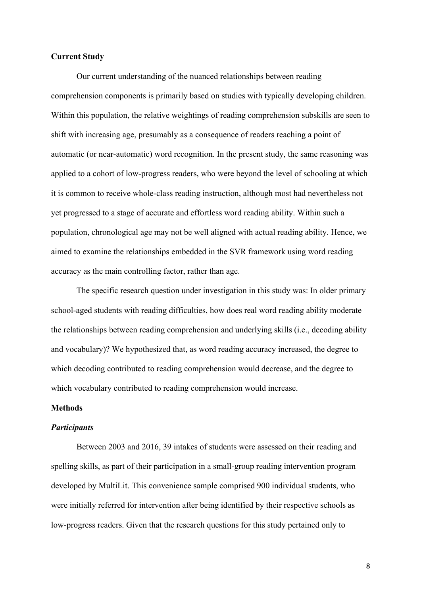### **Current Study**

Our current understanding of the nuanced relationships between reading comprehension components is primarily based on studies with typically developing children. Within this population, the relative weightings of reading comprehension subskills are seen to shift with increasing age, presumably as a consequence of readers reaching a point of automatic (or near-automatic) word recognition. In the present study, the same reasoning was applied to a cohort of low-progress readers, who were beyond the level of schooling at which it is common to receive whole-class reading instruction, although most had nevertheless not yet progressed to a stage of accurate and effortless word reading ability. Within such a population, chronological age may not be well aligned with actual reading ability. Hence, we aimed to examine the relationships embedded in the SVR framework using word reading accuracy as the main controlling factor, rather than age.

The specific research question under investigation in this study was: In older primary school-aged students with reading difficulties, how does real word reading ability moderate the relationships between reading comprehension and underlying skills (i.e., decoding ability and vocabulary)? We hypothesized that, as word reading accuracy increased, the degree to which decoding contributed to reading comprehension would decrease, and the degree to which vocabulary contributed to reading comprehension would increase.

#### **Methods**

#### *Participants*

Between 2003 and 2016, 39 intakes of students were assessed on their reading and spelling skills, as part of their participation in a small-group reading intervention program developed by MultiLit. This convenience sample comprised 900 individual students, who were initially referred for intervention after being identified by their respective schools as low-progress readers. Given that the research questions for this study pertained only to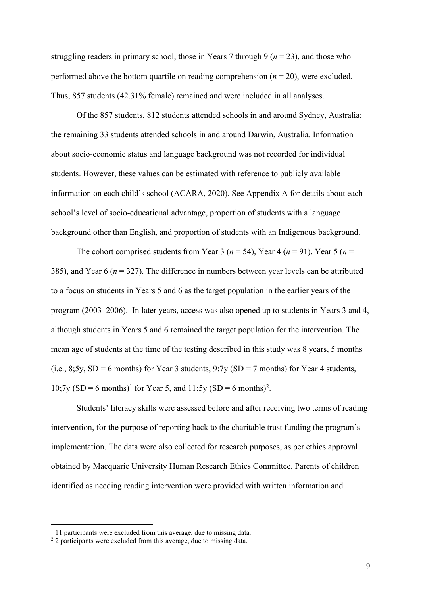struggling readers in primary school, those in Years 7 through 9 ( $n = 23$ ), and those who performed above the bottom quartile on reading comprehension  $(n = 20)$ , were excluded. Thus, 857 students (42.31% female) remained and were included in all analyses.

Of the 857 students, 812 students attended schools in and around Sydney, Australia; the remaining 33 students attended schools in and around Darwin, Australia. Information about socio-economic status and language background was not recorded for individual students. However, these values can be estimated with reference to publicly available information on each child's school (ACARA, 2020). See Appendix A for details about each school's level of socio-educational advantage, proportion of students with a language background other than English, and proportion of students with an Indigenous background.

The cohort comprised students from Year 3 ( $n = 54$ ), Year 4 ( $n = 91$ ), Year 5 ( $n =$ 385), and Year 6 (*n* = 327). The difference in numbers between year levels can be attributed to a focus on students in Years 5 and 6 as the target population in the earlier years of the program (2003–2006). In later years, access was also opened up to students in Years 3 and 4, although students in Years 5 and 6 remained the target population for the intervention. The mean age of students at the time of the testing described in this study was 8 years, 5 months (i.e., 8;5y,  $SD = 6$  months) for Year 3 students, 9;7y ( $SD = 7$  months) for Year 4 students, 10;7y (SD = 6 months)<sup>1</sup> for Year 5, and 11;5y (SD = 6 months)<sup>2</sup>.

Students' literacy skills were assessed before and after receiving two terms of reading intervention, for the purpose of reporting back to the charitable trust funding the program's implementation. The data were also collected for research purposes, as per ethics approval obtained by Macquarie University Human Research Ethics Committee. Parents of children identified as needing reading intervention were provided with written information and

 $1$  11 participants were excluded from this average, due to missing data.

<sup>&</sup>lt;sup>2</sup> 2 participants were excluded from this average, due to missing data.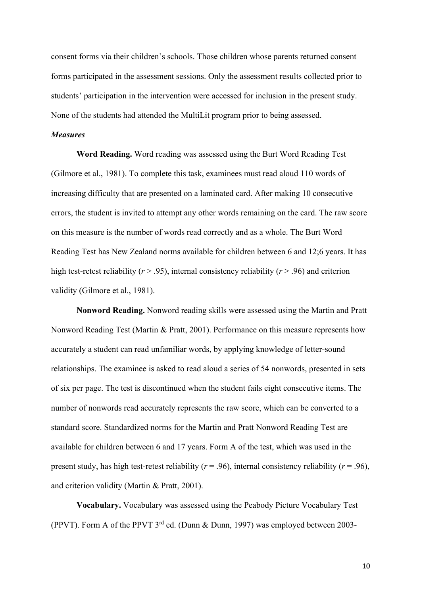consent forms via their children's schools. Those children whose parents returned consent forms participated in the assessment sessions. Only the assessment results collected prior to students' participation in the intervention were accessed for inclusion in the present study. None of the students had attended the MultiLit program prior to being assessed.

#### *Measures*

**Word Reading.** Word reading was assessed using the Burt Word Reading Test (Gilmore et al., 1981). To complete this task, examinees must read aloud 110 words of increasing difficulty that are presented on a laminated card. After making 10 consecutive errors, the student is invited to attempt any other words remaining on the card. The raw score on this measure is the number of words read correctly and as a whole. The Burt Word Reading Test has New Zealand norms available for children between 6 and 12;6 years. It has high test-retest reliability (*r* > .95), internal consistency reliability (*r* > .96) and criterion validity (Gilmore et al., 1981).

**Nonword Reading.** Nonword reading skills were assessed using the Martin and Pratt Nonword Reading Test (Martin & Pratt, 2001). Performance on this measure represents how accurately a student can read unfamiliar words, by applying knowledge of letter-sound relationships. The examinee is asked to read aloud a series of 54 nonwords, presented in sets of six per page. The test is discontinued when the student fails eight consecutive items. The number of nonwords read accurately represents the raw score, which can be converted to a standard score. Standardized norms for the Martin and Pratt Nonword Reading Test are available for children between 6 and 17 years. Form A of the test, which was used in the present study, has high test-retest reliability ( $r = .96$ ), internal consistency reliability ( $r = .96$ ), and criterion validity (Martin & Pratt, 2001).

**Vocabulary.** Vocabulary was assessed using the Peabody Picture Vocabulary Test (PPVT). Form A of the PPVT 3rd ed. (Dunn & Dunn, 1997) was employed between 2003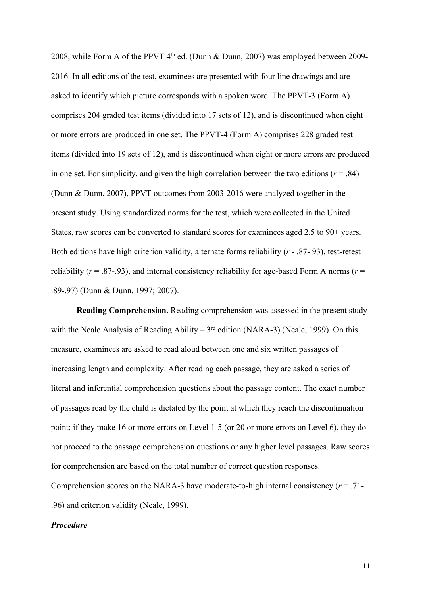2008, while Form A of the PPVT  $4<sup>th</sup>$  ed. (Dunn & Dunn, 2007) was employed between 2009-2016. In all editions of the test, examinees are presented with four line drawings and are asked to identify which picture corresponds with a spoken word. The PPVT-3 (Form A) comprises 204 graded test items (divided into 17 sets of 12), and is discontinued when eight or more errors are produced in one set. The PPVT-4 (Form A) comprises 228 graded test items (divided into 19 sets of 12), and is discontinued when eight or more errors are produced in one set. For simplicity, and given the high correlation between the two editions  $(r = .84)$ (Dunn & Dunn, 2007), PPVT outcomes from 2003-2016 were analyzed together in the present study. Using standardized norms for the test, which were collected in the United States, raw scores can be converted to standard scores for examinees aged 2.5 to 90+ years. Both editions have high criterion validity, alternate forms reliability (*r* - .87-.93), test-retest reliability ( $r = .87-.93$ ), and internal consistency reliability for age-based Form A norms ( $r =$ .89-.97) (Dunn & Dunn, 1997; 2007).

**Reading Comprehension.** Reading comprehension was assessed in the present study with the Neale Analysis of Reading Ability –  $3<sup>rd</sup>$  edition (NARA-3) (Neale, 1999). On this measure, examinees are asked to read aloud between one and six written passages of increasing length and complexity. After reading each passage, they are asked a series of literal and inferential comprehension questions about the passage content. The exact number of passages read by the child is dictated by the point at which they reach the discontinuation point; if they make 16 or more errors on Level 1-5 (or 20 or more errors on Level 6), they do not proceed to the passage comprehension questions or any higher level passages. Raw scores for comprehension are based on the total number of correct question responses. Comprehension scores on the NARA-3 have moderate-to-high internal consistency (*r* = .71-

.96) and criterion validity (Neale, 1999).

### *Procedure*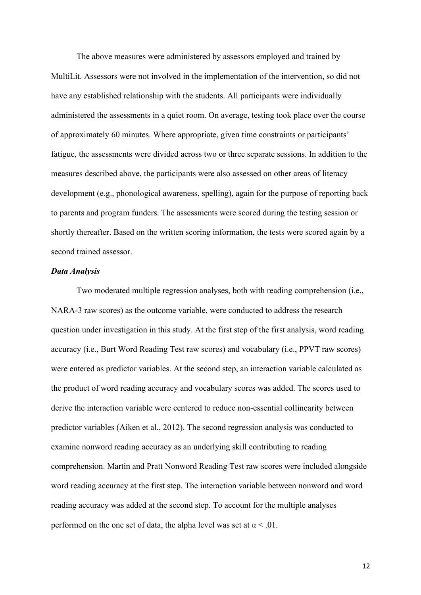The above measures were administered by assessors employed and trained by MultiLit. Assessors were not involved in the implementation of the intervention, so did not have any established relationship with the students. All participants were individually administered the assessments in a quiet room. On average, testing took place over the course of approximately 60 minutes. Where appropriate, given time constraints or participants' fatigue, the assessments were divided across two or three separate sessions. In addition to the measures described above, the participants were also assessed on other areas of literacy development (e.g., phonological awareness, spelling), again for the purpose of reporting back to parents and program funders. The assessments were scored during the testing session or shortly thereafter. Based on the written scoring information, the tests were scored again by a second trained assessor.

#### *Data Analysis*

Two moderated multiple regression analyses, both with reading comprehension (i.e., NARA-3 raw scores) as the outcome variable, were conducted to address the research question under investigation in this study. At the first step of the first analysis, word reading accuracy (i.e., Burt Word Reading Test raw scores) and vocabulary (i.e., PPVT raw scores) were entered as predictor variables. At the second step, an interaction variable calculated as the product of word reading accuracy and vocabulary scores was added. The scores used to derive the interaction variable were centered to reduce non-essential collinearity between predictor variables (Aiken et al., 2012). The second regression analysis was conducted to examine nonword reading accuracy as an underlying skill contributing to reading comprehension. Martin and Pratt Nonword Reading Test raw scores were included alongside word reading accuracy at the first step. The interaction variable between nonword and word reading accuracy was added at the second step. To account for the multiple analyses performed on the one set of data, the alpha level was set at  $\alpha$  < .01.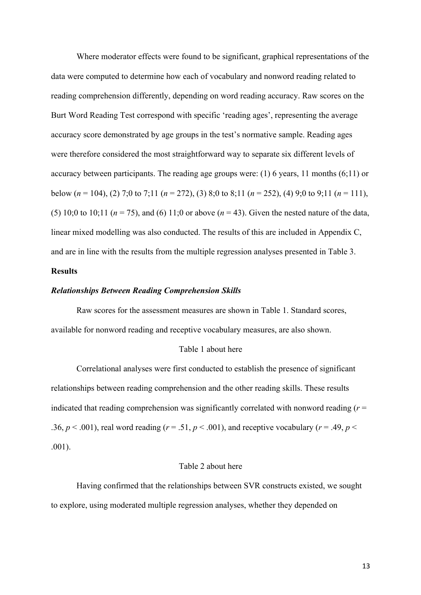Where moderator effects were found to be significant, graphical representations of the data were computed to determine how each of vocabulary and nonword reading related to reading comprehension differently, depending on word reading accuracy. Raw scores on the Burt Word Reading Test correspond with specific 'reading ages', representing the average accuracy score demonstrated by age groups in the test's normative sample. Reading ages were therefore considered the most straightforward way to separate six different levels of accuracy between participants. The reading age groups were: (1) 6 years, 11 months (6;11) or below ( $n = 104$ ), (2) 7;0 to 7;11 ( $n = 272$ ), (3) 8;0 to 8;11 ( $n = 252$ ), (4) 9;0 to 9;11 ( $n = 111$ ), (5) 10;0 to 10;11 ( $n = 75$ ), and (6) 11;0 or above ( $n = 43$ ). Given the nested nature of the data, linear mixed modelling was also conducted. The results of this are included in Appendix C, and are in line with the results from the multiple regression analyses presented in Table 3.

### **Results**

### *Relationships Between Reading Comprehension Skills*

Raw scores for the assessment measures are shown in Table 1. Standard scores, available for nonword reading and receptive vocabulary measures, are also shown.

#### Table 1 about here

Correlational analyses were first conducted to establish the presence of significant relationships between reading comprehension and the other reading skills. These results indicated that reading comprehension was significantly correlated with nonword reading (*r* = .36,  $p < .001$ ), real word reading ( $r = .51$ ,  $p < .001$ ), and receptive vocabulary ( $r = .49$ ,  $p < .001$ ) .001).

### Table 2 about here

Having confirmed that the relationships between SVR constructs existed, we sought to explore, using moderated multiple regression analyses, whether they depended on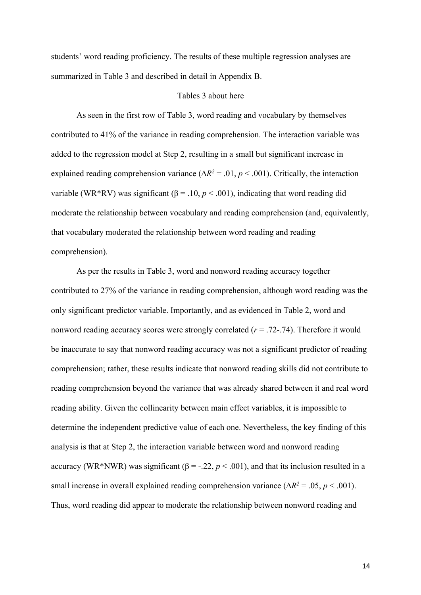students' word reading proficiency. The results of these multiple regression analyses are summarized in Table 3 and described in detail in Appendix B.

#### Tables 3 about here

As seen in the first row of Table 3, word reading and vocabulary by themselves contributed to 41% of the variance in reading comprehension. The interaction variable was added to the regression model at Step 2, resulting in a small but significant increase in explained reading comprehension variance ( $\Delta R^2 = .01$ ,  $p < .001$ ). Critically, the interaction variable (WR\*RV) was significant ( $β = .10, p < .001$ ), indicating that word reading did moderate the relationship between vocabulary and reading comprehension (and, equivalently, that vocabulary moderated the relationship between word reading and reading comprehension).

As per the results in Table 3, word and nonword reading accuracy together contributed to 27% of the variance in reading comprehension, although word reading was the only significant predictor variable. Importantly, and as evidenced in Table 2, word and nonword reading accuracy scores were strongly correlated (*r* = .72-.74). Therefore it would be inaccurate to say that nonword reading accuracy was not a significant predictor of reading comprehension; rather, these results indicate that nonword reading skills did not contribute to reading comprehension beyond the variance that was already shared between it and real word reading ability. Given the collinearity between main effect variables, it is impossible to determine the independent predictive value of each one. Nevertheless, the key finding of this analysis is that at Step 2, the interaction variable between word and nonword reading accuracy (WR\*NWR) was significant ( $β = -.22, p < .001$ ), and that its inclusion resulted in a small increase in overall explained reading comprehension variance ( $\Delta R^2 = .05$ , *p* < .001). Thus, word reading did appear to moderate the relationship between nonword reading and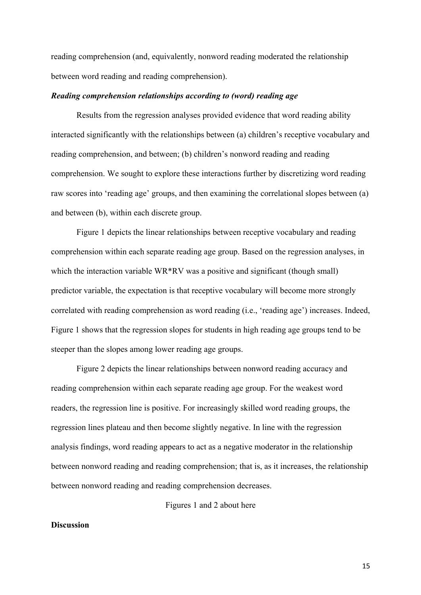reading comprehension (and, equivalently, nonword reading moderated the relationship between word reading and reading comprehension).

### *Reading comprehension relationships according to (word) reading age*

Results from the regression analyses provided evidence that word reading ability interacted significantly with the relationships between (a) children's receptive vocabulary and reading comprehension, and between; (b) children's nonword reading and reading comprehension. We sought to explore these interactions further by discretizing word reading raw scores into 'reading age' groups, and then examining the correlational slopes between (a) and between (b), within each discrete group.

Figure 1 depicts the linear relationships between receptive vocabulary and reading comprehension within each separate reading age group. Based on the regression analyses, in which the interaction variable WR\*RV was a positive and significant (though small) predictor variable, the expectation is that receptive vocabulary will become more strongly correlated with reading comprehension as word reading (i.e., 'reading age') increases. Indeed, Figure 1 shows that the regression slopes for students in high reading age groups tend to be steeper than the slopes among lower reading age groups.

Figure 2 depicts the linear relationships between nonword reading accuracy and reading comprehension within each separate reading age group. For the weakest word readers, the regression line is positive. For increasingly skilled word reading groups, the regression lines plateau and then become slightly negative. In line with the regression analysis findings, word reading appears to act as a negative moderator in the relationship between nonword reading and reading comprehension; that is, as it increases, the relationship between nonword reading and reading comprehension decreases.

Figures 1 and 2 about here

### **Discussion**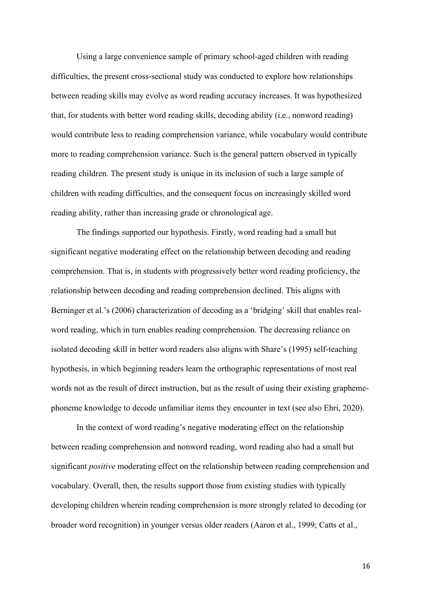Using a large convenience sample of primary school-aged children with reading difficulties, the present cross-sectional study was conducted to explore how relationships between reading skills may evolve as word reading accuracy increases. It was hypothesized that, for students with better word reading skills, decoding ability (i.e., nonword reading) would contribute less to reading comprehension variance, while vocabulary would contribute more to reading comprehension variance. Such is the general pattern observed in typically reading children. The present study is unique in its inclusion of such a large sample of children with reading difficulties, and the consequent focus on increasingly skilled word reading ability, rather than increasing grade or chronological age.

The findings supported our hypothesis. Firstly, word reading had a small but significant negative moderating effect on the relationship between decoding and reading comprehension. That is, in students with progressively better word reading proficiency, the relationship between decoding and reading comprehension declined. This aligns with Berninger et al.'s (2006) characterization of decoding as a 'bridging' skill that enables realword reading, which in turn enables reading comprehension. The decreasing reliance on isolated decoding skill in better word readers also aligns with Share's (1995) self-teaching hypothesis, in which beginning readers learn the orthographic representations of most real words not as the result of direct instruction, but as the result of using their existing graphemephoneme knowledge to decode unfamiliar items they encounter in text (see also Ehri, 2020).

In the context of word reading's negative moderating effect on the relationship between reading comprehension and nonword reading, word reading also had a small but significant *positive* moderating effect on the relationship between reading comprehension and vocabulary. Overall, then, the results support those from existing studies with typically developing children wherein reading comprehension is more strongly related to decoding (or broader word recognition) in younger versus older readers (Aaron et al., 1999; Catts et al.,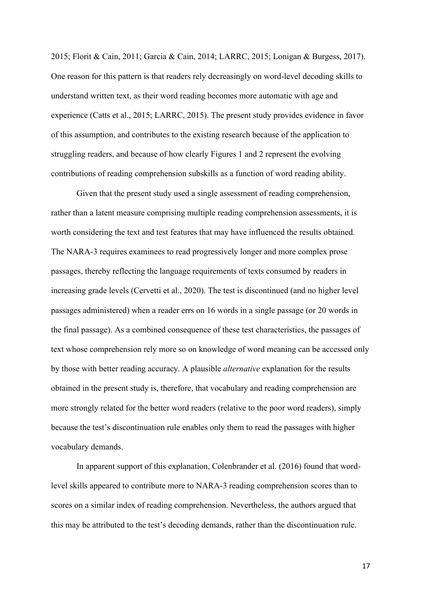2015; Florit & Cain, 2011; Garcia & Cain, 2014; LARRC, 2015; Lonigan & Burgess, 2017). One reason for this pattern is that readers rely decreasingly on word-level decoding skills to understand written text, as their word reading becomes more automatic with age and experience (Catts et al., 2015; LARRC, 2015). The present study provides evidence in favor of this assumption, and contributes to the existing research because of the application to struggling readers, and because of how clearly Figures 1 and 2 represent the evolving contributions of reading comprehension subskills as a function of word reading ability.

Given that the present study used a single assessment of reading comprehension, rather than a latent measure comprising multiple reading comprehension assessments, it is worth considering the text and test features that may have influenced the results obtained. The NARA-3 requires examinees to read progressively longer and more complex prose passages, thereby reflecting the language requirements of texts consumed by readers in increasing grade levels (Cervetti et al., 2020). The test is discontinued (and no higher level passages administered) when a reader errs on 16 words in a single passage (or 20 words in the final passage). As a combined consequence of these test characteristics, the passages of text whose comprehension rely more so on knowledge of word meaning can be accessed only by those with better reading accuracy. A plausible *alternative* explanation for the results obtained in the present study is, therefore, that vocabulary and reading comprehension are more strongly related for the better word readers (relative to the poor word readers), simply because the test's discontinuation rule enables only them to read the passages with higher vocabulary demands.

In apparent support of this explanation, Colenbrander et al. (2016) found that wordlevel skills appeared to contribute more to NARA-3 reading comprehension scores than to scores on a similar index of reading comprehension. Nevertheless, the authors argued that this may be attributed to the test's decoding demands, rather than the discontinuation rule.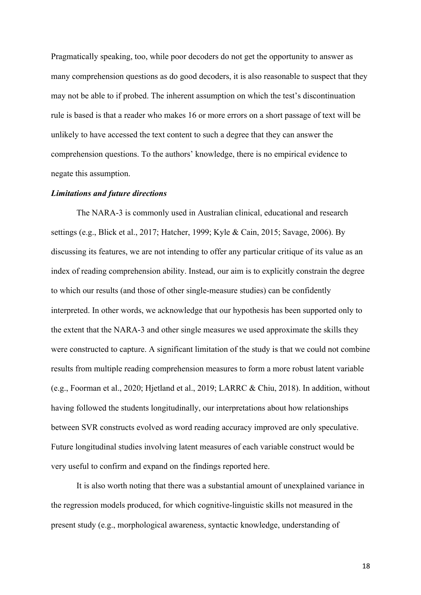Pragmatically speaking, too, while poor decoders do not get the opportunity to answer as many comprehension questions as do good decoders, it is also reasonable to suspect that they may not be able to if probed. The inherent assumption on which the test's discontinuation rule is based is that a reader who makes 16 or more errors on a short passage of text will be unlikely to have accessed the text content to such a degree that they can answer the comprehension questions. To the authors' knowledge, there is no empirical evidence to negate this assumption.

#### *Limitations and future directions*

The NARA-3 is commonly used in Australian clinical, educational and research settings (e.g., Blick et al., 2017; Hatcher, 1999; Kyle & Cain, 2015; Savage, 2006). By discussing its features, we are not intending to offer any particular critique of its value as an index of reading comprehension ability. Instead, our aim is to explicitly constrain the degree to which our results (and those of other single-measure studies) can be confidently interpreted. In other words, we acknowledge that our hypothesis has been supported only to the extent that the NARA-3 and other single measures we used approximate the skills they were constructed to capture. A significant limitation of the study is that we could not combine results from multiple reading comprehension measures to form a more robust latent variable (e.g., Foorman et al., 2020; Hjetland et al., 2019; LARRC & Chiu, 2018). In addition, without having followed the students longitudinally, our interpretations about how relationships between SVR constructs evolved as word reading accuracy improved are only speculative. Future longitudinal studies involving latent measures of each variable construct would be very useful to confirm and expand on the findings reported here.

It is also worth noting that there was a substantial amount of unexplained variance in the regression models produced, for which cognitive-linguistic skills not measured in the present study (e.g., morphological awareness, syntactic knowledge, understanding of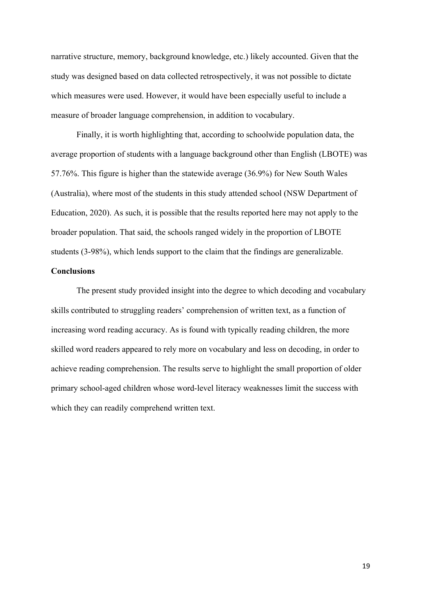narrative structure, memory, background knowledge, etc.) likely accounted. Given that the study was designed based on data collected retrospectively, it was not possible to dictate which measures were used. However, it would have been especially useful to include a measure of broader language comprehension, in addition to vocabulary.

Finally, it is worth highlighting that, according to schoolwide population data, the average proportion of students with a language background other than English (LBOTE) was 57.76%. This figure is higher than the statewide average (36.9%) for New South Wales (Australia), where most of the students in this study attended school (NSW Department of Education, 2020). As such, it is possible that the results reported here may not apply to the broader population. That said, the schools ranged widely in the proportion of LBOTE students (3-98%), which lends support to the claim that the findings are generalizable.

## **Conclusions**

The present study provided insight into the degree to which decoding and vocabulary skills contributed to struggling readers' comprehension of written text, as a function of increasing word reading accuracy. As is found with typically reading children, the more skilled word readers appeared to rely more on vocabulary and less on decoding, in order to achieve reading comprehension. The results serve to highlight the small proportion of older primary school-aged children whose word-level literacy weaknesses limit the success with which they can readily comprehend written text.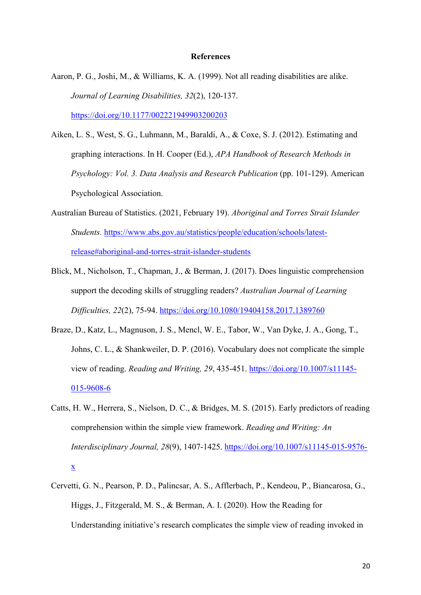#### **References**

- Aaron, P. G., Joshi, M., & Williams, K. A. (1999). Not all reading disabilities are alike. *Journal of Learning Disabilities, 32*(2), 120-137. https://doi.org/10.1177/002221949903200203
- Aiken, L. S., West, S. G., Luhmann, M., Baraldi, A., & Coxe, S. J. (2012). Estimating and graphing interactions. In H. Cooper (Ed.), *APA Handbook of Research Methods in Psychology: Vol. 3. Data Analysis and Research Publication* (pp. 101-129). American Psychological Association.
- Australian Bureau of Statistics. (2021, February 19). *Aboriginal and Torres Strait Islander Students.* https://www.abs.gov.au/statistics/people/education/schools/latestrelease#aboriginal-and-torres-strait-islander-students
- Blick, M., Nicholson, T., Chapman, J., & Berman, J. (2017). Does linguistic comprehension support the decoding skills of struggling readers? *Australian Journal of Learning Difficulties, 22*(2), 75-94. https://doi.org/10.1080/19404158.2017.1389760
- Braze, D., Katz, L., Magnuson, J. S., Mencl, W. E., Tabor, W., Van Dyke, J. A., Gong, T., Johns, C. L., & Shankweiler, D. P. (2016). Vocabulary does not complicate the simple view of reading. *Reading and Writing, 29*, 435-451. https://doi.org/10.1007/s11145- 015-9608-6
- Catts, H. W., Herrera, S., Nielson, D. C., & Bridges, M. S. (2015). Early predictors of reading comprehension within the simple view framework. *Reading and Writing: An Interdisciplinary Journal, 28*(9), 1407-1425. https://doi.org/10.1007/s11145-015-9576 x
- Cervetti, G. N., Pearson, P. D., Palincsar, A. S., Afflerbach, P., Kendeou, P., Biancarosa, G., Higgs, J., Fitzgerald, M. S., & Berman, A. I. (2020). How the Reading for Understanding initiative's research complicates the simple view of reading invoked in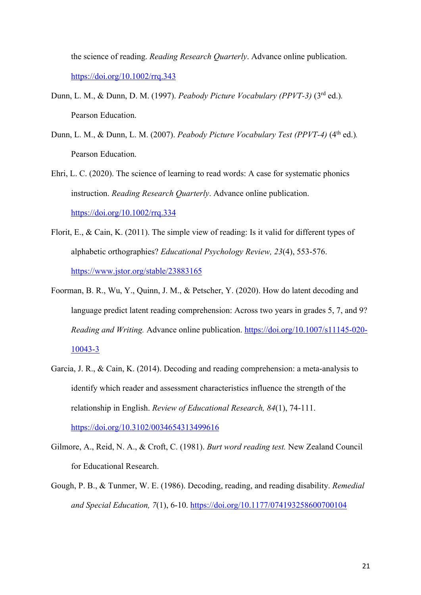the science of reading. *Reading Research Quarterly*. Advance online publication. https://doi.org/10.1002/rrq.343

- Dunn, L. M., & Dunn, D. M. (1997). *Peabody Picture Vocabulary (PPVT-3)* (3rd ed.)*.* Pearson Education.
- Dunn, L. M., & Dunn, L. M. (2007). *Peabody Picture Vocabulary Test (PPVT-4)* (4<sup>th</sup> ed.). Pearson Education.
- Ehri, L. C. (2020). The science of learning to read words: A case for systematic phonics instruction. *Reading Research Quarterly*. Advance online publication. https://doi.org/10.1002/rrq.334
- Florit, E., & Cain, K. (2011). The simple view of reading: Is it valid for different types of alphabetic orthographies? *Educational Psychology Review, 23*(4), 553-576. https://www.jstor.org/stable/23883165
- Foorman, B. R., Wu, Y., Quinn, J. M., & Petscher, Y. (2020). How do latent decoding and language predict latent reading comprehension: Across two years in grades 5, 7, and 9? *Reading and Writing.* Advance online publication. https://doi.org/10.1007/s11145-020- 10043-3
- Garcia, J. R., & Cain, K. (2014). Decoding and reading comprehension: a meta-analysis to identify which reader and assessment characteristics influence the strength of the relationship in English. *Review of Educational Research, 84*(1), 74-111. https://doi.org/10.3102/0034654313499616
- Gilmore, A., Reid, N. A., & Croft, C. (1981). *Burt word reading test.* New Zealand Council for Educational Research.
- Gough, P. B., & Tunmer, W. E. (1986). Decoding, reading, and reading disability. *Remedial and Special Education, 7*(1), 6-10. https://doi.org/10.1177/074193258600700104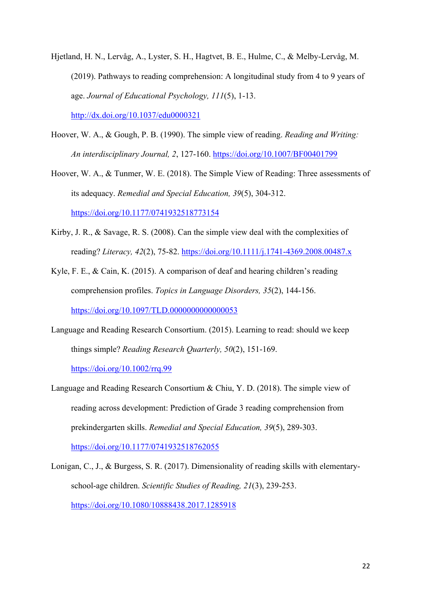- Hjetland, H. N., Lervåg, A., Lyster, S. H., Hagtvet, B. E., Hulme, C., & Melby-Lervåg, M. (2019). Pathways to reading comprehension: A longitudinal study from 4 to 9 years of age. *Journal of Educational Psychology, 111*(5), 1-13. http://dx.doi.org/10.1037/edu0000321
- Hoover, W. A., & Gough, P. B. (1990). The simple view of reading. *Reading and Writing: An interdisciplinary Journal, 2*, 127-160. https://doi.org/10.1007/BF00401799
- Hoover, W. A., & Tunmer, W. E. (2018). The Simple View of Reading: Three assessments of its adequacy. *Remedial and Special Education, 39*(5), 304-312. https://doi.org/10.1177/0741932518773154
- Kirby, J. R., & Savage, R. S. (2008). Can the simple view deal with the complexities of reading? *Literacy, 42*(2), 75-82. https://doi.org/10.1111/j.1741-4369.2008.00487.x
- Kyle, F. E., & Cain, K. (2015). A comparison of deaf and hearing children's reading comprehension profiles. *Topics in Language Disorders, 35*(2), 144-156. https://doi.org/10.1097/TLD.0000000000000053
- Language and Reading Research Consortium. (2015). Learning to read: should we keep things simple? *Reading Research Quarterly, 50*(2), 151-169.

https://doi.org/10.1002/rrq.99

Language and Reading Research Consortium & Chiu, Y. D. (2018). The simple view of reading across development: Prediction of Grade 3 reading comprehension from prekindergarten skills. *Remedial and Special Education, 39*(5), 289-303.

https://doi.org/10.1177/0741932518762055

Lonigan, C., J., & Burgess, S. R. (2017). Dimensionality of reading skills with elementaryschool-age children. *Scientific Studies of Reading, 21*(3), 239-253. https://doi.org/10.1080/10888438.2017.1285918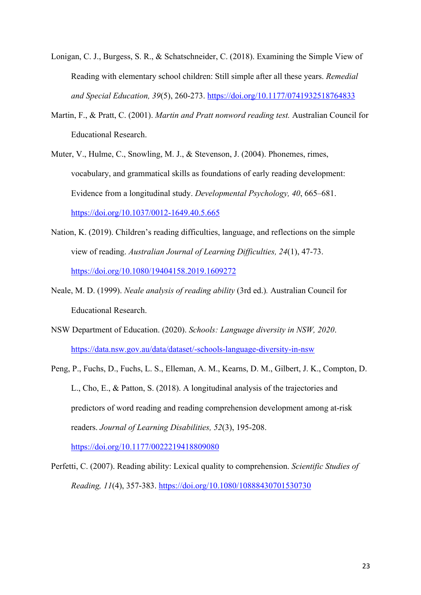- Lonigan, C. J., Burgess, S. R., & Schatschneider, C. (2018). Examining the Simple View of Reading with elementary school children: Still simple after all these years. *Remedial and Special Education, 39*(5), 260-273. https://doi.org/10.1177/0741932518764833
- Martin, F., & Pratt, C. (2001). *Martin and Pratt nonword reading test.* Australian Council for Educational Research.
- Muter, V., Hulme, C., Snowling, M. J., & Stevenson, J. (2004). Phonemes, rimes, vocabulary, and grammatical skills as foundations of early reading development: Evidence from a longitudinal study. *Developmental Psychology, 40*, 665–681. https://doi.org/10.1037/0012-1649.40.5.665
- Nation, K. (2019). Children's reading difficulties, language, and reflections on the simple view of reading. *Australian Journal of Learning Difficulties, 24*(1), 47-73. https://doi.org/10.1080/19404158.2019.1609272
- Neale, M. D. (1999). *Neale analysis of reading ability* (3rd ed.)*.* Australian Council for Educational Research.
- NSW Department of Education. (2020). *Schools: Language diversity in NSW, 2020*. https://data.nsw.gov.au/data/dataset/-schools-language-diversity-in-nsw
- Peng, P., Fuchs, D., Fuchs, L. S., Elleman, A. M., Kearns, D. M., Gilbert, J. K., Compton, D. L., Cho, E., & Patton, S. (2018). A longitudinal analysis of the trajectories and predictors of word reading and reading comprehension development among at-risk readers. *Journal of Learning Disabilities, 52*(3), 195-208. https://doi.org/10.1177/0022219418809080

Perfetti, C. (2007). Reading ability: Lexical quality to comprehension. *Scientific Studies of Reading, 11*(4), 357-383. https://doi.org/10.1080/10888430701530730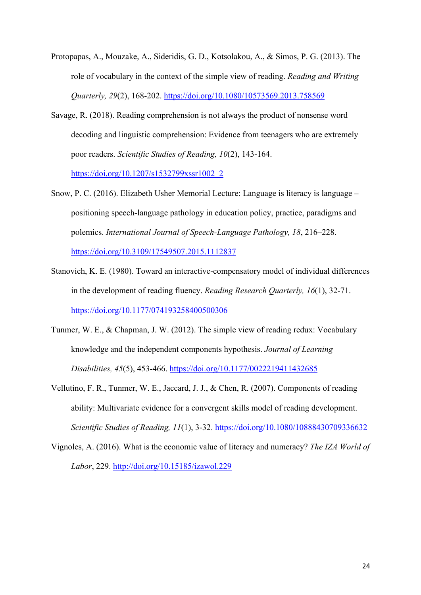- Protopapas, A., Mouzake, A., Sideridis, G. D., Kotsolakou, A., & Simos, P. G. (2013). The role of vocabulary in the context of the simple view of reading. *Reading and Writing Quarterly, 29*(2), 168-202. https://doi.org/10.1080/10573569.2013.758569
- Savage, R. (2018). Reading comprehension is not always the product of nonsense word decoding and linguistic comprehension: Evidence from teenagers who are extremely poor readers. *Scientific Studies of Reading, 10*(2), 143-164.

https://doi.org/10.1207/s1532799xssr1002\_2

- Snow, P. C. (2016). Elizabeth Usher Memorial Lecture: Language is literacy is language positioning speech-language pathology in education policy, practice, paradigms and polemics. *International Journal of Speech-Language Pathology, 18*, 216–228. https://doi.org/10.3109/17549507.2015.1112837
- Stanovich, K. E. (1980). Toward an interactive-compensatory model of individual differences in the development of reading fluency. *Reading Research Quarterly, 16*(1), 32-71. https://doi.org/10.1177/074193258400500306
- Tunmer, W. E., & Chapman, J. W. (2012). The simple view of reading redux: Vocabulary knowledge and the independent components hypothesis. *Journal of Learning Disabilities, 45*(5), 453-466. https://doi.org/10.1177/0022219411432685
- Vellutino, F. R., Tunmer, W. E., Jaccard, J. J., & Chen, R. (2007). Components of reading ability: Multivariate evidence for a convergent skills model of reading development. *Scientific Studies of Reading, 11*(1), 3-32. https://doi.org/10.1080/10888430709336632
- Vignoles, A. (2016). What is the economic value of literacy and numeracy? *The IZA World of Labor*, 229. http://doi.org/10.15185/izawol.229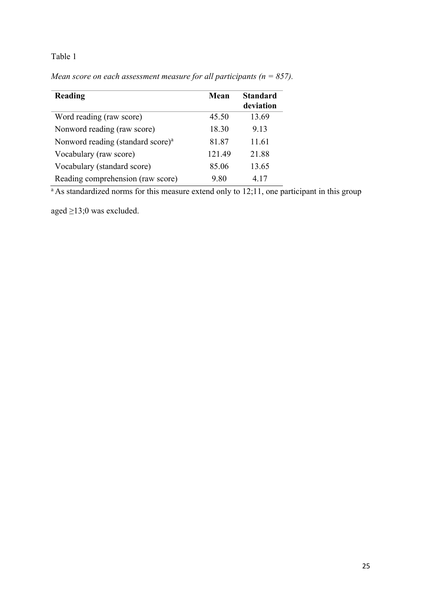# Table 1

| Reading                                       | Mean   | <b>Standard</b><br>deviation |
|-----------------------------------------------|--------|------------------------------|
| Word reading (raw score)                      | 45.50  | 13.69                        |
| Nonword reading (raw score)                   | 18.30  | 9.13                         |
| Nonword reading (standard score) <sup>a</sup> | 81.87  | 11.61                        |
| Vocabulary (raw score)                        | 121.49 | 21.88                        |
| Vocabulary (standard score)                   | 85.06  | 13.65                        |
| Reading comprehension (raw score)             | 9.80   | 4.17                         |

*Mean score on each assessment measure for all participants (n = 857).*

 $a$ As standardized norms for this measure extend only to 12;11, one participant in this group

aged ≥13;0 was excluded.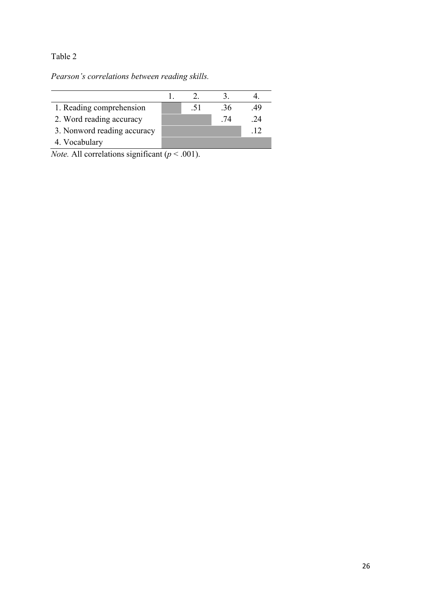# Table 2

*Pearson's correlations between reading skills.*

| 1. Reading comprehension    | .51 | .36 | .49 |
|-----------------------------|-----|-----|-----|
| 2. Word reading accuracy    |     | .74 | -24 |
| 3. Nonword reading accuracy |     |     |     |
| 4. Vocabulary               |     |     |     |

*Note.* All correlations significant  $(p < .001)$ .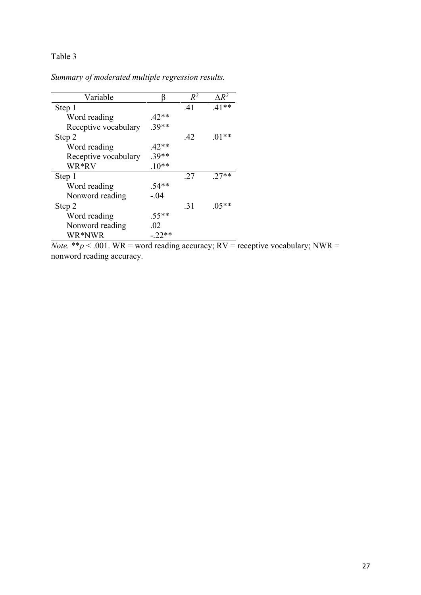# Table 3

*Summary of moderated multiple regression results.*

| Variable             |          | $R^2$ | $\Lambda R^2$ |
|----------------------|----------|-------|---------------|
| Step 1               |          | .41   | $.41**$       |
| Word reading         | $.42**$  |       |               |
| Receptive vocabulary | $.39**$  |       |               |
| Step 2               |          | .42   | $.01**$       |
| Word reading         | $.42**$  |       |               |
| Receptive vocabulary | $.39**$  |       |               |
| WR*RV                | $.10**$  |       |               |
| Step 1               |          | .27   | $.27**$       |
| Word reading         | $.54**$  |       |               |
| Nonword reading      | $-.04$   |       |               |
| Step 2               |          | .31   | $.05**$       |
| Word reading         | $.55**$  |       |               |
| Nonword reading      | .02      |       |               |
| WR*NWR               | $-.22**$ |       |               |

*Note.* \*\* $p < .001$ . WR = word reading accuracy; RV = receptive vocabulary; NWR = nonword reading accuracy.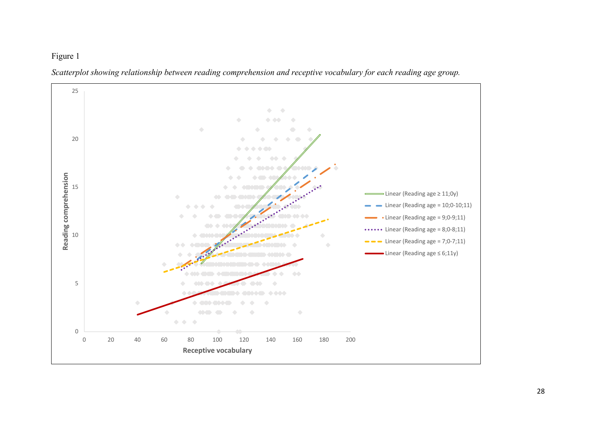# Figure 1



*Scatterplot showing relationship between reading comprehension and receptive vocabulary for each reading age group.*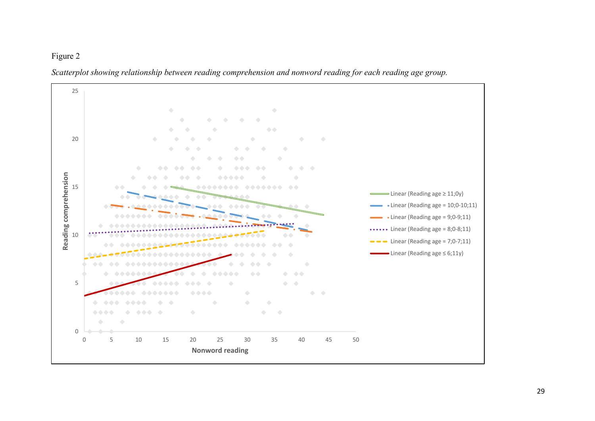# Figure 2



*Scatterplot showing relationship between reading comprehension and nonword reading for each reading age group.*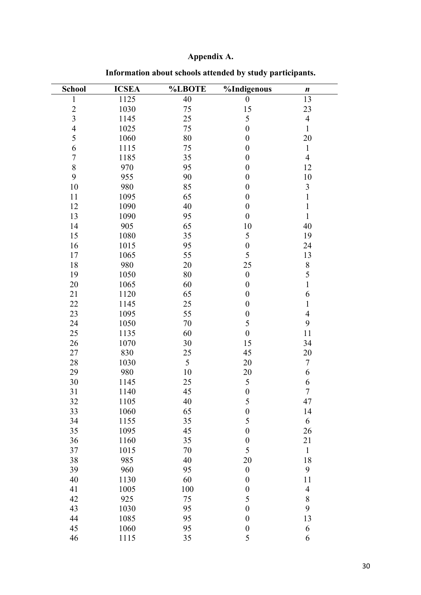# **Appendix A.**

| <b>School</b>           | <b>ICSEA</b> | <b>%LBOTE</b> | %Indigenous      | $\boldsymbol{n}$ |
|-------------------------|--------------|---------------|------------------|------------------|
| $\mathbf{1}$            | 1125         | 40            | $\boldsymbol{0}$ | 13               |
| $\overline{c}$          | 1030         | 75            | 15               | 23               |
| $\overline{\mathbf{3}}$ | 1145         | 25            | 5                | $\overline{4}$   |
| $\overline{4}$          | 1025         | 75            | $\boldsymbol{0}$ | $\mathbf{1}$     |
| 5                       | 1060         | 80            | $\boldsymbol{0}$ | 20               |
| 6                       | 1115         | 75            | $\boldsymbol{0}$ | $\mathbf{1}$     |
| $\sqrt{ }$              | 1185         | 35            | $\boldsymbol{0}$ | $\overline{4}$   |
| 8                       | 970          | 95            | $\boldsymbol{0}$ | 12               |
| 9                       | 955          | 90            | $\boldsymbol{0}$ | 10               |
| 10                      | 980          | 85            | $\boldsymbol{0}$ | $\mathfrak{Z}$   |
| 11                      | 1095         | 65            | $\boldsymbol{0}$ | $\mathbbm{1}$    |
| 12                      | 1090         | 40            | $\boldsymbol{0}$ | $\mathbbm{1}$    |
| 13                      | 1090         | 95            | $\boldsymbol{0}$ | $\mathbf{1}$     |
| 14                      | 905          | 65            | 10               | 40               |
| 15                      | 1080         | 35            | 5                | 19               |
| 16                      | 1015         | 95            | $\boldsymbol{0}$ | 24               |
| 17                      | 1065         | 55            | 5                | 13               |
| 18                      | 980          | 20            | 25               | $\,$ $\,$        |
| 19                      | 1050         | 80            | $\boldsymbol{0}$ | 5                |
| 20                      | 1065         | 60            | $\boldsymbol{0}$ | $\mathbf{1}$     |
| 21                      | 1120         | 65            | $\boldsymbol{0}$ | 6                |
| 22                      | 1145         | 25            | $\boldsymbol{0}$ | $\mathbf{1}$     |
| 23                      | 1095         | 55            | $\boldsymbol{0}$ | $\overline{4}$   |
| 24                      | 1050         | 70            | 5                | 9                |
| 25                      | 1135         | 60            | $\boldsymbol{0}$ | 11               |
| 26                      | 1070         | 30            | 15               | 34               |
| 27                      | 830          | 25            | 45               | 20               |
| 28                      | 1030         | 5             | 20               | $\boldsymbol{7}$ |
| 29                      | 980          | 10            | 20               | 6                |
| 30                      | 1145         | 25            | $\mathfrak{S}$   | 6                |
| 31                      | 1140         | 45            | $\boldsymbol{0}$ | $\overline{7}$   |
| 32                      | 1105         | 40            | $\sqrt{5}$       | 47               |
| 33                      | 1060         | 65            | $\boldsymbol{0}$ | 14               |
| 34                      | 1155         | 35            | 5                | 6                |
| 35                      | 1095         | 45            | $\boldsymbol{0}$ | 26               |
| 36                      | 1160         | 35            | $\boldsymbol{0}$ | 21               |
| 37                      | 1015         | 70            | 5                | $\,1$            |
| 38                      | 985          | 40            | 20               | 18               |
| 39                      | 960          | 95            | $\boldsymbol{0}$ | 9                |
| 40                      | 1130         | 60            | $\boldsymbol{0}$ | 11               |
| 41                      | 1005         | 100           | $\boldsymbol{0}$ | $\overline{4}$   |
| 42                      | 925          | 75            | 5                | $\,$ $\,$        |
| 43                      | 1030         | 95            | $\boldsymbol{0}$ | 9                |
| 44                      | 1085         | 95            | $\boldsymbol{0}$ | 13               |
| 45                      | 1060         | 95            | $\boldsymbol{0}$ | 6                |
| 46                      | 1115         | 35            | 5                | 6                |

**Information about schools attended by study participants.**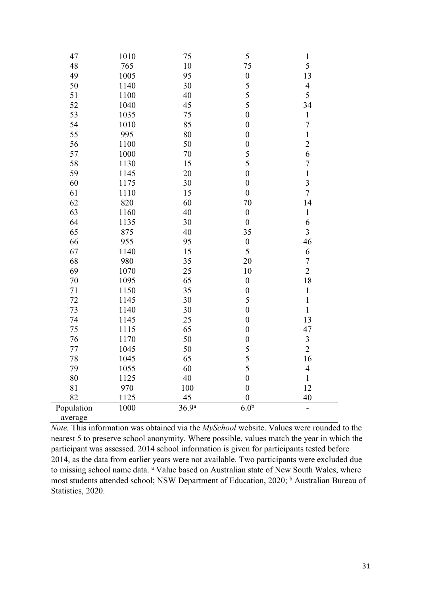| 47         | 1010 | 75                | $\sqrt{5}$       | $\mathbf{1}$            |
|------------|------|-------------------|------------------|-------------------------|
| 48         | 765  | 10                | 75               | 5                       |
| 49         | 1005 | 95                | $\boldsymbol{0}$ | 13                      |
| 50         | 1140 | 30                | 5                | $\overline{4}$          |
| 51         | 1100 | 40                | 5                | 5                       |
| 52         | 1040 | 45                | 5                | 34                      |
| 53         | 1035 | 75                | $\boldsymbol{0}$ | $\mathbf{1}$            |
| 54         | 1010 | 85                | $\boldsymbol{0}$ | $\sqrt{ }$              |
| 55         | 995  | 80                | $\boldsymbol{0}$ | $\,1$                   |
| 56         | 1100 | 50                | $\boldsymbol{0}$ | $\overline{c}$          |
| 57         | 1000 | 70                | 5                | 6                       |
| 58         | 1130 | 15                | 5                | $\sqrt{ }$              |
| 59         | 1145 | 20                | $\boldsymbol{0}$ | $\mathbf 1$             |
| 60         | 1175 | 30                | $\boldsymbol{0}$ | $\overline{\mathbf{3}}$ |
| 61         | 1110 | 15                | $\boldsymbol{0}$ | $\overline{7}$          |
| 62         | 820  | 60                | 70               | 14                      |
| 63         | 1160 | 40                | $\boldsymbol{0}$ | $\mathbf 1$             |
| 64         | 1135 | 30                | $\boldsymbol{0}$ | 6                       |
| 65         | 875  | 40                | 35               | 3                       |
| 66         | 955  | 95                | $\boldsymbol{0}$ | 46                      |
| 67         | 1140 | 15                | 5                | 6                       |
| 68         | 980  | 35                | 20               | $\boldsymbol{7}$        |
| 69         | 1070 | 25                | 10               | $\overline{2}$          |
| 70         | 1095 | 65                | $\boldsymbol{0}$ | 18                      |
| 71         | 1150 | 35                | $\boldsymbol{0}$ | $\,1\,$                 |
| 72         | 1145 | 30                | 5                | $\mathbf 1$             |
| 73         | 1140 | 30                | $\boldsymbol{0}$ | $\mathbf{1}$            |
| 74         | 1145 | 25                | $\boldsymbol{0}$ | 13                      |
| 75         | 1115 | 65                | $\boldsymbol{0}$ | 47                      |
| 76         | 1170 | 50                | $\boldsymbol{0}$ | $\mathfrak{Z}$          |
| $77 \,$    | 1045 | 50                | $\frac{5}{5}$    | $\overline{2}$          |
| 78         | 1045 | 65                |                  | 16                      |
| 79         | 1055 | 60                | 5                | $\overline{4}$          |
| 80         | 1125 | 40                | $\boldsymbol{0}$ | 1                       |
| 81         | 970  | 100               | $\boldsymbol{0}$ | 12                      |
| 82         | 1125 | 45                | $\boldsymbol{0}$ | 40                      |
| Population | 1000 | 36.9 <sup>a</sup> | 6.0 <sup>b</sup> |                         |
| average    |      |                   |                  |                         |

*Note.* This information was obtained via the *MySchool* website. Values were rounded to the nearest 5 to preserve school anonymity. Where possible, values match the year in which the participant was assessed. 2014 school information is given for participants tested before 2014, as the data from earlier years were not available. Two participants were excluded due to missing school name data. <sup>a</sup> Value based on Australian state of New South Wales, where most students attended school; NSW Department of Education, 2020; <sup>b</sup> Australian Bureau of Statistics, 2020.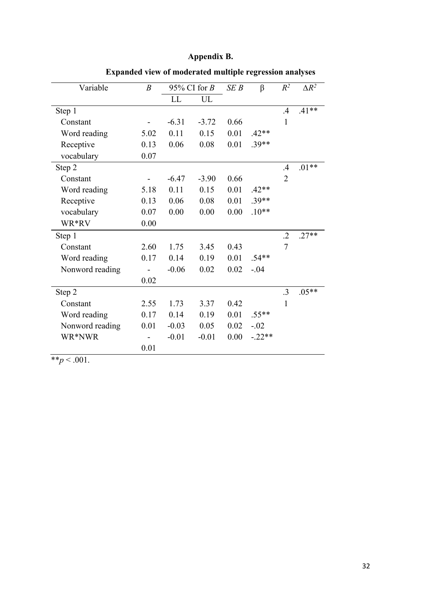# **Appendix B.**

| $\boldsymbol{B}$ | 95% CI for $B$ |         | SEB  | $\beta$  | $R^2$          | $\Delta R^2$ |
|------------------|----------------|---------|------|----------|----------------|--------------|
|                  | LL             | UL      |      |          |                |              |
|                  |                |         |      |          | .4             | $.41**$      |
|                  | $-6.31$        | $-3.72$ | 0.66 |          | 1              |              |
| 5.02             | 0.11           | 0.15    | 0.01 | $.42**$  |                |              |
| 0.13             | 0.06           | 0.08    | 0.01 | $.39**$  |                |              |
| 0.07             |                |         |      |          |                |              |
|                  |                |         |      |          | .4             | $.01**$      |
|                  | $-6.47$        | $-3.90$ | 0.66 |          | $\overline{2}$ |              |
| 5.18             | 0.11           | 0.15    | 0.01 | $.42**$  |                |              |
| 0.13             | 0.06           | 0.08    | 0.01 | $.39**$  |                |              |
| 0.07             | 0.00           | 0.00    | 0.00 | $.10**$  |                |              |
| 0.00             |                |         |      |          |                |              |
|                  |                |         |      |          | $\cdot$ .2     | $.27**$      |
| 2.60             | 1.75           | 3.45    | 0.43 |          | $\overline{7}$ |              |
| 0.17             | 0.14           | 0.19    | 0.01 | $.54**$  |                |              |
|                  | $-0.06$        | 0.02    | 0.02 | $-.04$   |                |              |
| 0.02             |                |         |      |          |                |              |
|                  |                |         |      |          | $\cdot$ 3      | $.05**$      |
| 2.55             | 1.73           | 3.37    | 0.42 |          | 1              |              |
| 0.17             | 0.14           | 0.19    | 0.01 | $.55**$  |                |              |
| 0.01             | $-0.03$        | 0.05    | 0.02 | $-.02$   |                |              |
|                  | $-0.01$        | $-0.01$ | 0.00 | $-.22**$ |                |              |
| 0.01             |                |         |      |          |                |              |
|                  |                |         |      |          |                |              |

**Expanded view of moderated multiple regression analyses**

 $*$ *r* $p$  < .001.